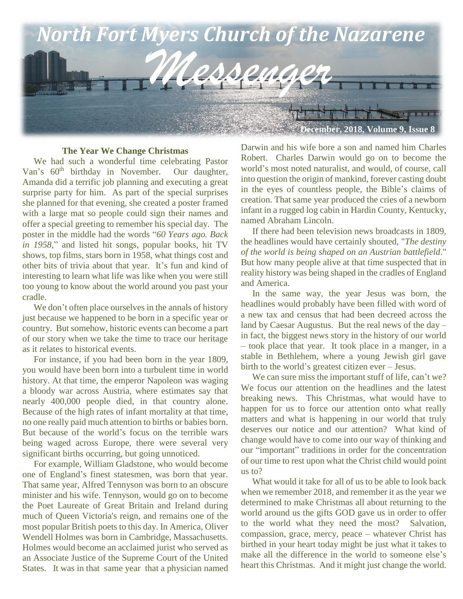

#### **The Year We Change Christmas**

 We had such a wonderful time celebrating Pastor Van's  $60<sup>th</sup>$  birthday in November. Our daughter, Amanda did a terrific job planning and executing a great surprise party for him. As part of the special surprises she planned for that evening, she created a poster framed with a large mat so people could sign their names and offer a special greeting to remember his special day. The poster in the middle had the words "*60 Years ago. Back in 1958*," and listed hit songs, popular books, hit TV shows, top films, stars born in 1958, what things cost and other bits of trivia about that year. It's fun and kind of interesting to learn what life was like when you were still too young to know about the world around you past your cradle.

We don't often place ourselves in the annals of history just because we happened to be born in a specific year or country. But somehow, historic events can become a part of our story when we take the time to trace our heritage as it relates to historical events.

 For instance, if you had been born in the year 1809, you would have been born into a turbulent time in world history. At that time, the emperor Napoleon was waging a bloody war across Austria, where estimates say that nearly 400,000 people died, in that country alone. Because of the high rates of infant mortality at that time, no one really paid much attention to births or babies born. But because of the world's focus on the terrible wars being waged across Europe, there were several very significant births occurring, but going unnoticed.

 For example, William Gladstone, who would become one of England's finest statesmen, was born that year. That same year, Alfred Tennyson was born to an obscure minister and his wife. Tennyson, would go on to become the Poet Laureate of Great Britain and Ireland during much of Queen Victoria's reign, and remains one of the most popular British poets to this day. In America, Oliver Wendell Holmes was born in Cambridge, Massachusetts. Holmes would become an acclaimed jurist who served as an Associate Justice of the Supreme Court of the United States. It was in that same year that a physician named Darwin and his wife bore a son and named him Charles Robert. Charles Darwin would go on to become the world's most noted naturalist, and would, of course, call into question the origin of mankind, forever casting doubt in the eyes of countless people, the Bible's claims of creation. That same year produced the cries of a newborn infant in a rugged log cabin in Hardin County, Kentucky, named Abraham Lincoln.

 If there had been television news broadcasts in 1809, the headlines would have certainly shouted, "*The destiny of the world is being shaped on an Austrian battlefield*." But how many people alive at that time suspected that in reality history was being shaped in the cradles of England and America.

 In the same way, the year Jesus was born, the headlines would probably have been filled with word of a new tax and census that had been decreed across the land by Caesar Augustus. But the real news of the day – in fact, the biggest news story in the history of our world – took place that year. It took place in a manger, in a stable in Bethlehem, where a young Jewish girl gave birth to the world's greatest citizen ever – Jesus.

We can sure miss the important stuff of life, can't we? We focus our attention on the headlines and the latest breaking news. This Christmas, what would have to happen for us to force our attention onto what really matters and what is happening in our world that truly deserves our notice and our attention? What kind of change would have to come into our way of thinking and our "important" traditions in order for the concentration of our time to rest upon what the Christ child would point us to?

 What would it take for all of us to be able to look back when we remember 2018, and remember it as the year we determined to make Christmas all about returning to the world around us the gifts GOD gave us in order to offer to the world what they need the most? Salvation, compassion, grace, mercy, peace – whatever Christ has birthed in your heart today might be just what it takes to make all the difference in the world to someone else's heart this Christmas. And it might just change the world.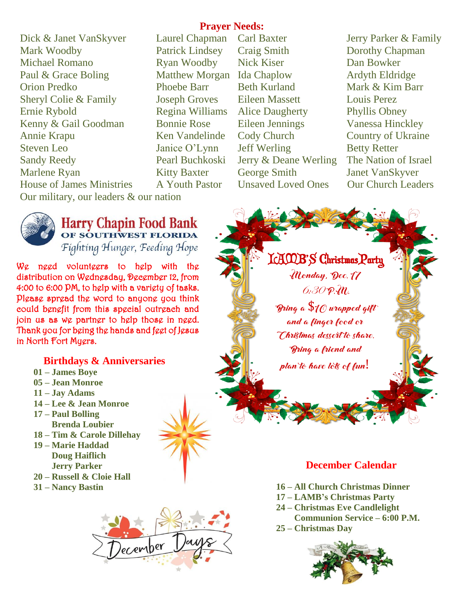**Prayer Needs:**

Dick & Janet VanSkyver Laurel Chapman Carl Baxter Jerry Parker & Family Mark Woodby Patrick Lindsey Craig Smith Dorothy Chapman Michael Romano **Ryan Woodby** Nick Kiser **Dan Bowker** Paul & Grace Boling Matthew Morgan Ida Chaplow Ardyth Eldridge Orion Predko Phoebe Barr Beth Kurland Mark & Kim Barr Sheryl Colie & Family Joseph Groves Eileen Massett Louis Perez Ernie Rybold Regina Williams Alice Daugherty Phyllis Obney Kenny & Gail Goodman Bonnie Rose Eileen Jennings Vanessa Hinckley Annie Krapu Ken Vandelinde Cody Church Country of Ukraine Steven Leo Janice O'Lynn Jeff Werling Betty Retter Sandy Reedy Pearl Buchkoski Jerry & Deane Werling The Nation of Israel Marlene Ryan Kitty Baxter George Smith Janet VanSkyver House of James Ministries A Youth Pastor Unsaved Loved Ones Our Church Leaders Our military, our leaders & our nation



# Harry Chapin Food Bank

Fighting Hunger, Feeding Hope

We need volunteers to help with the distribution on Wednesday, December 12, from 4:00 to 6:00 PM, to help with a variety of tasks. Please spread the word to anyone you think could benefit from this special outreach and join us as we partner to help those in need. Thank you for being the hands and feet of Jesus in North Fort Myers.

## **Birthdays & Anniversaries**

- **01 – James Boye**
- **05 – Jean Monroe**
- **11 – Jay Adams**
- **14 – Lee & Jean Monroe**
- **17 – Paul Bolling Brenda Loubier**
- **18 – Tim & Carole Dillehay**
- **19 – Marie Haddad Doug Haiflich Jerry Parker**
- **20 – Russell & Cloie Hall**
- **31 – Nancy Bastin**



LAMB'S Christmas Party Monday, Dec. 17  $6.30$  P.M. Bring a  $\$_{10}$  wrapped gift and a finger food or Christmas dessert to share. Bring a friend and plan to have lots of fun!

## **December Calendar**

- **16 – All Church Christmas Dinner**
- **17 – LAMB's Christmas Party**
- **24 – Christmas Eve Candlelight Communion Service – 6:00 P.M.**
- **25 – Christmas Day**

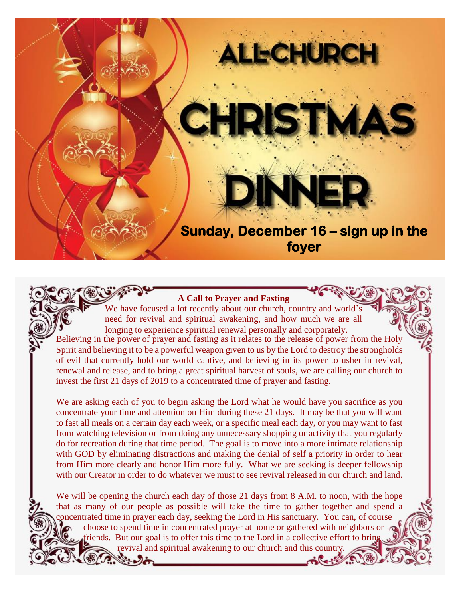

#### **A Call to Prayer and Fasting**

We have focused a lot recently about our church, country and world's need for revival and spiritual awakening, and how much we are all longing to experience spiritual renewal personally and corporately. Believing in the power of prayer and fasting as it relates to the release of power from the Holy

Spirit and believing it to be a powerful weapon given to us by the Lord to destroy the strongholds of evil that currently hold our world captive, and believing in its power to usher in revival, renewal and release, and to bring a great spiritual harvest of souls, we are calling our church to invest the first 21 days of 2019 to a concentrated time of prayer and fasting.

We are asking each of you to begin asking the Lord what he would have you sacrifice as you concentrate your time and attention on Him during these 21 days. It may be that you will want to fast all meals on a certain day each week, or a specific meal each day, or you may want to fast from watching television or from doing any unnecessary shopping or activity that you regularly do for recreation during that time period. The goal is to move into a more intimate relationship with GOD by eliminating distractions and making the denial of self a priority in order to hear from Him more clearly and honor Him more fully. What we are seeking is deeper fellowship with our Creator in order to do whatever we must to see revival released in our church and land.

We will be opening the church each day of those 21 days from 8 A.M. to noon, with the hope that as many of our people as possible will take the time to gather together and spend a concentrated time in prayer each day, seeking the Lord in His sanctuary. You can, of course choose to spend time in concentrated prayer at home or gathered with neighbors or friends. But our goal is to offer this time to the Lord in a collective effort to bring revival and spiritual awakening to our church and this country.